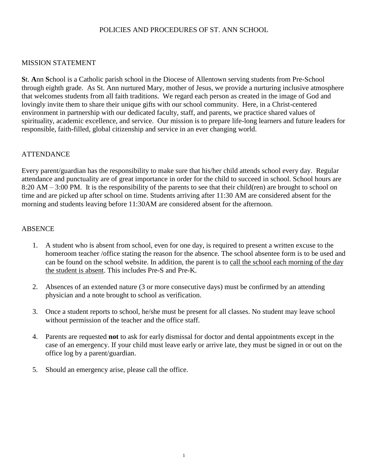#### POLICIES AND PROCEDURES OF ST. ANN SCHOOL

#### MISSION STATEMENT

**S**t. **A**nn **S**chool is a Catholic parish school in the Diocese of Allentown serving students from Pre-School through eighth grade. As St. Ann nurtured Mary, mother of Jesus, we provide a nurturing inclusive atmosphere that welcomes students from all faith traditions. We regard each person as created in the image of God and lovingly invite them to share their unique gifts with our school community. Here, in a Christ-centered environment in partnership with our dedicated faculty, staff, and parents, we practice shared values of spirituality, academic excellence, and service. Our mission is to prepare life-long learners and future leaders for responsible, faith-filled, global citizenship and service in an ever changing world.

#### ATTENDANCE

Every parent/guardian has the responsibility to make sure that his/her child attends school every day. Regular attendance and punctuality are of great importance in order for the child to succeed in school. School hours are 8:20 AM – 3:00 PM. It is the responsibility of the parents to see that their child(ren) are brought to school on time and are picked up after school on time. Students arriving after 11:30 AM are considered absent for the morning and students leaving before 11:30AM are considered absent for the afternoon.

#### **ABSENCE**

- 1. A student who is absent from school, even for one day, is required to present a written excuse to the homeroom teacher /office stating the reason for the absence. The school absentee form is to be used and can be found on the school website. In addition, the parent is to call the school each morning of the day the student is absent. This includes Pre-S and Pre-K.
- 2. Absences of an extended nature (3 or more consecutive days) must be confirmed by an attending physician and a note brought to school as verification.
- 3. Once a student reports to school, he/she must be present for all classes. No student may leave school without permission of the teacher and the office staff.
- 4. Parents are requested **not** to ask for early dismissal for doctor and dental appointments except in the case of an emergency. If your child must leave early or arrive late, they must be signed in or out on the office log by a parent/guardian.
- 5. Should an emergency arise, please call the office.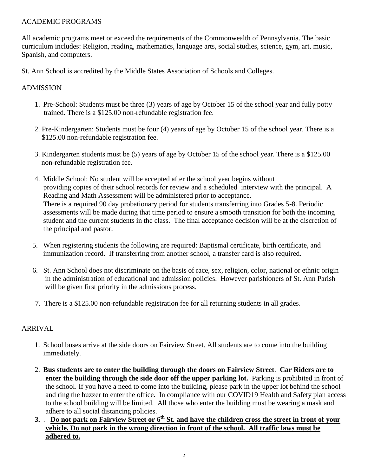## ACADEMIC PROGRAMS

All academic programs meet or exceed the requirements of the Commonwealth of Pennsylvania. The basic curriculum includes: Religion, reading, mathematics, language arts, social studies, science, gym, art, music, Spanish, and computers.

St. Ann School is accredited by the Middle States Association of Schools and Colleges.

## ADMISSION

- 1. Pre-School: Students must be three (3) years of age by October 15 of the school year and fully potty trained. There is a \$125.00 non-refundable registration fee.
- 2. Pre-Kindergarten: Students must be four (4) years of age by October 15 of the school year. There is a \$125.00 non-refundable registration fee.
- 3. Kindergarten students must be (5) years of age by October 15 of the school year. There is a \$125.00 non-refundable registration fee.
- 4. Middle School: No student will be accepted after the school year begins without providing copies of their school records for review and a scheduled interview with the principal. A Reading and Math Assessment will be administered prior to acceptance. There is a required 90 day probationary period for students transferring into Grades 5-8. Periodic assessments will be made during that time period to ensure a smooth transition for both the incoming student and the current students in the class. The final acceptance decision will be at the discretion of the principal and pastor.
- 5. When registering students the following are required: Baptismal certificate, birth certificate, and immunization record. If transferring from another school, a transfer card is also required.
- 6. St. Ann School does not discriminate on the basis of race, sex, religion, color, national or ethnic origin in the administration of educational and admission policies. However parishioners of St. Ann Parish will be given first priority in the admissions process.
- 7. There is a \$125.00 non-refundable registration fee for all returning students in all grades.

## ARRIVAL

- 1. School buses arrive at the side doors on Fairview Street. All students are to come into the building immediately.
- 2. **Bus students are to enter the building through the doors on Fairview Street**. **Car Riders are to enter the building through the side door off the upper parking lot.** Parking is prohibited in front of the school. If you have a need to come into the building, please park in the upper lot behind the school and ring the buzzer to enter the office. In compliance with our COVID19 Health and Safety plan access to the school building will be limited. All those who enter the building must be wearing a mask and adhere to all social distancing policies.
- **3.** . **Do not park on Fairview Street or 6th St. and have the children cross the street in front of your vehicle. Do not park in the wrong direction in front of the school. All traffic laws must be adhered to.**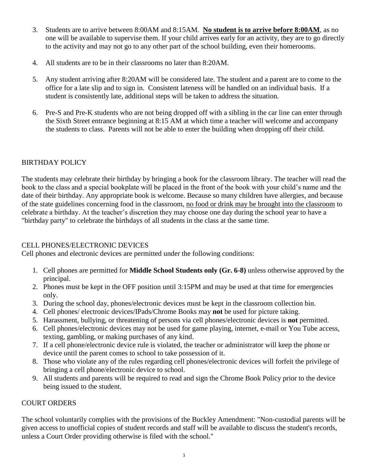- 3. Students are to arrive between 8:00AM and 8:15AM. **No student is to arrive before 8:00AM**, as no one will be available to supervise them. If your child arrives early for an activity, they are to go directly to the activity and may not go to any other part of the school building, even their homerooms.
- 4. All students are to be in their classrooms no later than 8:20AM.
- 5. Any student arriving after 8:20AM will be considered late. The student and a parent are to come to the office for a late slip and to sign in. Consistent lateness will be handled on an individual basis. If a student is consistently late, additional steps will be taken to address the situation.
- 6. Pre-S and Pre-K students who are not being dropped off with a sibling in the car line can enter through the Sixth Street entrance beginning at 8:15 AM at which time a teacher will welcome and accompany the students to class. Parents will not be able to enter the building when dropping off their child.

# BIRTHDAY POLICY

The students may celebrate their birthday by bringing a book for the classroom library. The teacher will read the book to the class and a special bookplate will be placed in the front of the book with your child's name and the date of their birthday. Any appropriate book is welcome. Because so many children have allergies, and because of the state guidelines concerning food in the classroom, no food or drink may be brought into the classroom to celebrate a birthday. At the teacher's discretion they may choose one day during the school year to have a "birthday party" to celebrate the birthdays of all students in the class at the same time.

## CELL PHONES/ELECTRONIC DEVICES

Cell phones and electronic devices are permitted under the following conditions:

- 1. Cell phones are permitted for **Middle School Students only (Gr. 6-8)** unless otherwise approved by the principal.
- 2. Phones must be kept in the OFF position until 3:15PM and may be used at that time for emergencies only.
- 3. During the school day, phones/electronic devices must be kept in the classroom collection bin.
- 4. Cell phones/ electronic devices/IPads/Chrome Books may **not** be used for picture taking.
- 5. Harassment, bullying, or threatening of persons via cell phones/electronic devices is **not** permitted.
- 6. Cell phones/electronic devices may not be used for game playing, internet, e-mail or You Tube access, texting, gambling, or making purchases of any kind.
- 7. If a cell phone/electronic device rule is violated, the teacher or administrator will keep the phone or device until the parent comes to school to take possession of it.
- 8. Those who violate any of the rules regarding cell phones/electronic devices will forfeit the privilege of bringing a cell phone/electronic device to school.
- 9. All students and parents will be required to read and sign the Chrome Book Policy prior to the device being issued to the student.

## COURT ORDERS

The school voluntarily complies with the provisions of the Buckley Amendment: "Non-custodial parents will be given access to unofficial copies of student records and staff will be available to discuss the student's records, unless a Court Order providing otherwise is filed with the school."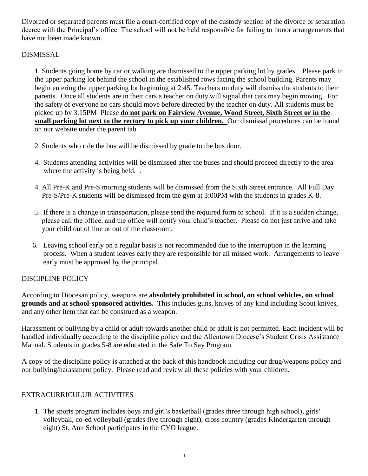Divorced or separated parents must file a court-certified copy of the custody section of the divorce or separation decree with the Principal's office. The school will not be held responsible for failing to honor arrangements that have not been made known.

## DISMISSAL

1. Students going home by car or walking are dismissed to the upper parking lot by grades. Please park in the upper parking lot behind the school in the established rows facing the school building. Parents may begin entering the upper parking lot beginning at 2:45. Teachers on duty will dismiss the students to their parents. Once all students are in their cars a teacher on duty will signal that cars may begin moving. For the safety of everyone no cars should move before directed by the teacher on duty. All students must be picked up by 3:15PM Please **do not park on Fairview Avenue, Wood Street, Sixth Street or in the small parking lot next to the rectory to pick up your children.** Our dismissal procedures can be found on our website under the parent tab.

- 2. Students who ride the bus will be dismissed by grade to the bus door.
- 4. Students attending activities will be dismissed after the buses and should proceed directly to the area where the activity is being held...
- 4. All Pre-K and Pre-S morning students will be dismissed from the Sixth Street entrance. All Full Day Pre-S/Pre-K students will be dismissed from the gym at 3:00PM with the students in grades K-8.
- 5. If there is a change in transportation, please send the required form to school. If it is a sudden change, please call the office, and the office will notify your child's teacher. Please do not just arrive and take your child out of line or out of the classroom.
- 6. Leaving school early on a regular basis is not recommended due to the interruption in the learning process. When a student leaves early they are responsible for all missed work. Arrangements to leave early must be approved by the principal.

# DISCIPLINE POLICY

According to Diocesan policy, weapons are **absolutely prohibited in school, on school vehicles, on school grounds and at school-sponsored activities.** This includes guns, knives of any kind including Scout knives, and any other item that can be construed as a weapon.

Harassment or bullying by a child or adult towards another child or adult is not permitted. Each incident will be handled individually according to the discipline policy and the Allentown Diocese's Student Crisis Assistance Manual. Students in grades 5-8 are educated in the Safe To Say Program.

A copy of the discipline policy is attached at the back of this handbook including our drug/weapons policy and our bullying/harassment policy. Please read and review all these policies with your children.

# EXTRACURRICULUR ACTIVITIES

1. The sports program includes boys and girl's basketball (grades three through high school), girls' volleyball, co-ed volleyball (grades five through eight), cross country (grades Kindergarten through eight) St. Ann School participates in the CYO league.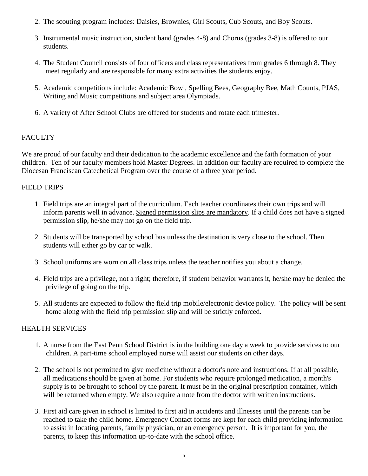- 2. The scouting program includes: Daisies, Brownies, Girl Scouts, Cub Scouts, and Boy Scouts.
- 3. Instrumental music instruction, student band (grades 4-8) and Chorus (grades 3-8) is offered to our students.
- 4. The Student Council consists of four officers and class representatives from grades 6 through 8. They meet regularly and are responsible for many extra activities the students enjoy.
- 5. Academic competitions include: Academic Bowl, Spelling Bees, Geography Bee, Math Counts, PJAS, Writing and Music competitions and subject area Olympiads.
- 6. A variety of After School Clubs are offered for students and rotate each trimester.

## **FACULTY**

We are proud of our faculty and their dedication to the academic excellence and the faith formation of your children. Ten of our faculty members hold Master Degrees. In addition our faculty are required to complete the Diocesan Franciscan Catechetical Program over the course of a three year period.

## FIELD TRIPS

- 1. Field trips are an integral part of the curriculum. Each teacher coordinates their own trips and will inform parents well in advance. Signed permission slips are mandatory. If a child does not have a signed permission slip, he/she may not go on the field trip.
- 2. Students will be transported by school bus unless the destination is very close to the school. Then students will either go by car or walk.
- 3. School uniforms are worn on all class trips unless the teacher notifies you about a change.
- 4. Field trips are a privilege, not a right; therefore, if student behavior warrants it, he/she may be denied the privilege of going on the trip.
- 5. All students are expected to follow the field trip mobile/electronic device policy. The policy will be sent home along with the field trip permission slip and will be strictly enforced.

## HEALTH SERVICES

- 1. A nurse from the East Penn School District is in the building one day a week to provide services to our children. A part-time school employed nurse will assist our students on other days.
- 2. The school is not permitted to give medicine without a doctor's note and instructions. If at all possible, all medications should be given at home. For students who require prolonged medication, a month's supply is to be brought to school by the parent. It must be in the original prescription container, which will be returned when empty. We also require a note from the doctor with written instructions.
- 3. First aid care given in school is limited to first aid in accidents and illnesses until the parents can be reached to take the child home. Emergency Contact forms are kept for each child providing information to assist in locating parents, family physician, or an emergency person. It is important for you, the parents, to keep this information up-to-date with the school office.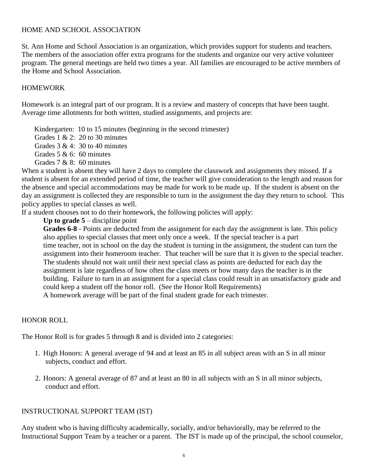#### HOME AND SCHOOL ASSOCIATION

St. Ann Home and School Association is an organization, which provides support for students and teachers. The members of the association offer extra programs for the students and organize our very active volunteer program. The general meetings are held two times a year. All families are encouraged to be active members of the Home and School Association.

## HOMEWORK

Homework is an integral part of our program. It is a review and mastery of concepts that have been taught. Average time allotments for both written, studied assignments, and projects are:

Kindergarten: 10 to 15 minutes (beginning in the second trimester)

Grades 1  $& 2: 20$  to 30 minutes

Grades  $3 \& 4$ :  $30 \text{ to } 40$  minutes

Grades  $5 & 6$ : 60 minutes

Grades 7 & 8: 60 minutes

When a student is absent they will have 2 days to complete the classwork and assignments they missed. If a student is absent for an extended period of time, the teacher will give consideration to the length and reason for the absence and special accommodations may be made for work to be made up. If the student is absent on the day an assignment is collected they are responsible to turn in the assignment the day they return to school. This policy applies to special classes as well.

If a student chooses not to do their homework, the following policies will apply:

**Up to grade 5** – discipline point

Grades 6-8 - Points are deducted from the assignment for each day the assignment is late. This policy also applies to special classes that meet only once a week. If the special teacher is a part time teacher, not in school on the day the student is turning in the assignment, the student can turn the assignment into their homeroom teacher. That teacher will be sure that it is given to the special teacher. The students should not wait until their next special class as points are deducted for each day the assignment is late regardless of how often the class meets or how many days the teacher is in the building. Failure to turn in an assignment for a special class could result in an unsatisfactory grade and could keep a student off the honor roll. (See the Honor Roll Requirements) A homework average will be part of the final student grade for each trimester.

## HONOR ROLL

The Honor Roll is for grades 5 through 8 and is divided into 2 categories:

- 1. High Honors: A general average of 94 and at least an 85 in all subject areas with an S in all minor subjects, conduct and effort.
- 2. Honors: A general average of 87 and at least an 80 in all subjects with an S in all minor subjects, conduct and effort.

## INSTRUCTIONAL SUPPORT TEAM (IST)

Any student who is having difficulty academically, socially, and/or behaviorally, may be referred to the Instructional Support Team by a teacher or a parent. The IST is made up of the principal, the school counselor,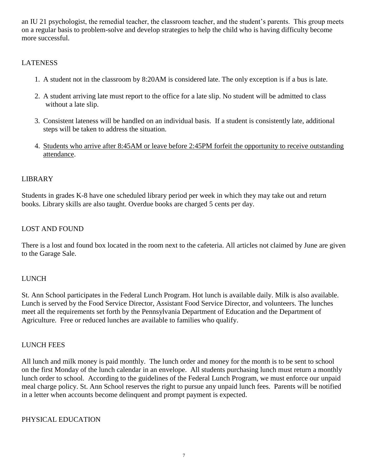an IU 21 psychologist, the remedial teacher, the classroom teacher, and the student's parents. This group meets on a regular basis to problem-solve and develop strategies to help the child who is having difficulty become more successful.

## **LATENESS**

- 1. A student not in the classroom by 8:20AM is considered late. The only exception is if a bus is late.
- 2. A student arriving late must report to the office for a late slip. No student will be admitted to class without a late slip.
- 3. Consistent lateness will be handled on an individual basis. If a student is consistently late, additional steps will be taken to address the situation.
- 4. Students who arrive after 8:45AM or leave before 2:45PM forfeit the opportunity to receive outstanding attendance.

## LIBRARY

Students in grades K-8 have one scheduled library period per week in which they may take out and return books. Library skills are also taught. Overdue books are charged 5 cents per day.

## LOST AND FOUND

There is a lost and found box located in the room next to the cafeteria. All articles not claimed by June are given to the Garage Sale.

## LUNCH

St. Ann School participates in the Federal Lunch Program. Hot lunch is available daily. Milk is also available. Lunch is served by the Food Service Director, Assistant Food Service Director, and volunteers. The lunches meet all the requirements set forth by the Pennsylvania Department of Education and the Department of Agriculture. Free or reduced lunches are available to families who qualify.

#### LUNCH FEES

All lunch and milk money is paid monthly. The lunch order and money for the month is to be sent to school on the first Monday of the lunch calendar in an envelope. All students purchasing lunch must return a monthly lunch order to school. According to the guidelines of the Federal Lunch Program, we must enforce our unpaid meal charge policy. St. Ann School reserves the right to pursue any unpaid lunch fees. Parents will be notified in a letter when accounts become delinquent and prompt payment is expected.

## PHYSICAL EDUCATION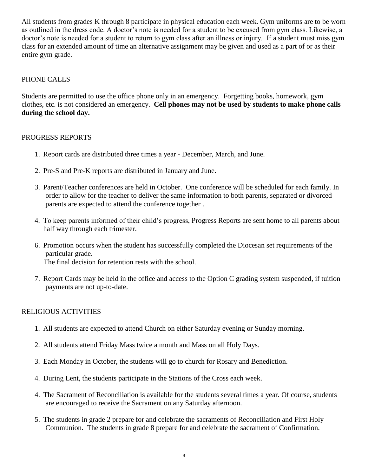All students from grades K through 8 participate in physical education each week. Gym uniforms are to be worn as outlined in the dress code. A doctor's note is needed for a student to be excused from gym class. Likewise, a doctor's note is needed for a student to return to gym class after an illness or injury. If a student must miss gym class for an extended amount of time an alternative assignment may be given and used as a part of or as their entire gym grade.

#### PHONE CALLS

Students are permitted to use the office phone only in an emergency. Forgetting books, homework, gym clothes, etc. is not considered an emergency. **Cell phones may not be used by students to make phone calls during the school day.** 

#### PROGRESS REPORTS

- 1. Report cards are distributed three times a year December, March, and June.
- 2. Pre-S and Pre-K reports are distributed in January and June.
- 3. Parent/Teacher conferences are held in October. One conference will be scheduled for each family. In order to allow for the teacher to deliver the same information to both parents, separated or divorced parents are expected to attend the conference together .
- 4. To keep parents informed of their child's progress, Progress Reports are sent home to all parents about half way through each trimester.
- 6. Promotion occurs when the student has successfully completed the Diocesan set requirements of the particular grade. The final decision for retention rests with the school.
- 7. Report Cards may be held in the office and access to the Option C grading system suspended, if tuition payments are not up-to-date.

#### RELIGIOUS ACTIVITIES

- 1. All students are expected to attend Church on either Saturday evening or Sunday morning.
- 2. All students attend Friday Mass twice a month and Mass on all Holy Days.
- 3. Each Monday in October, the students will go to church for Rosary and Benediction.
- 4. During Lent, the students participate in the Stations of the Cross each week.
- 4. The Sacrament of Reconciliation is available for the students several times a year. Of course, students are encouraged to receive the Sacrament on any Saturday afternoon.
- 5. The students in grade 2 prepare for and celebrate the sacraments of Reconciliation and First Holy Communion. The students in grade 8 prepare for and celebrate the sacrament of Confirmation.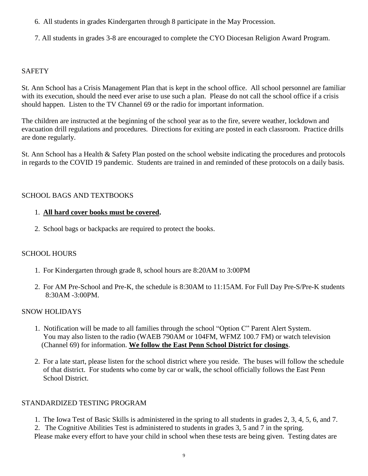- 6. All students in grades Kindergarten through 8 participate in the May Procession.
- 7. All students in grades 3-8 are encouraged to complete the CYO Diocesan Religion Award Program.

## **SAFETY**

St. Ann School has a Crisis Management Plan that is kept in the school office. All school personnel are familiar with its execution, should the need ever arise to use such a plan. Please do not call the school office if a crisis should happen. Listen to the TV Channel 69 or the radio for important information.

The children are instructed at the beginning of the school year as to the fire, severe weather, lockdown and evacuation drill regulations and procedures. Directions for exiting are posted in each classroom. Practice drills are done regularly.

St. Ann School has a Health & Safety Plan posted on the school website indicating the procedures and protocols in regards to the COVID 19 pandemic. Students are trained in and reminded of these protocols on a daily basis.

## SCHOOL BAGS AND TEXTBOOKS

## 1. **All hard cover books must be covered.**

2. School bags or backpacks are required to protect the books.

## SCHOOL HOURS

- 1. For Kindergarten through grade 8, school hours are 8:20AM to 3:00PM
- 2. For AM Pre-School and Pre-K, the schedule is 8:30AM to 11:15AM. For Full Day Pre-S/Pre-K students 8:30AM -3:00PM.

## SNOW HOLIDAYS

- 1. Notification will be made to all families through the school "Option C" Parent Alert System. You may also listen to the radio (WAEB 790AM or 104FM, WFMZ 100.7 FM) or watch television (Channel 69) for information. **We follow the East Penn School District for closings**.
- 2. For a late start, please listen for the school district where you reside. The buses will follow the schedule of that district. For students who come by car or walk, the school officially follows the East Penn School District.

## STANDARDIZED TESTING PROGRAM

1. The Iowa Test of Basic Skills is administered in the spring to all students in grades 2, 3, 4, 5, 6, and 7.

2. The Cognitive Abilities Test is administered to students in grades 3, 5 and 7 in the spring.

Please make every effort to have your child in school when these tests are being given. Testing dates are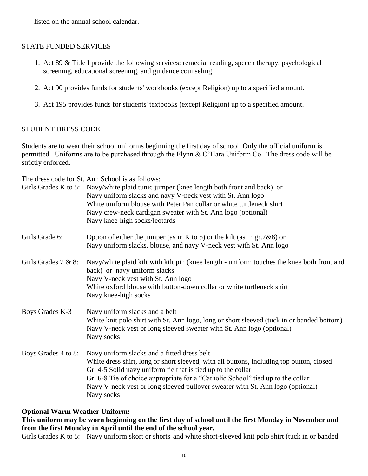listed on the annual school calendar.

## STATE FUNDED SERVICES

- 1. Act 89 & Title I provide the following services: remedial reading, speech therapy, psychological screening, educational screening, and guidance counseling.
- 2. Act 90 provides funds for students' workbooks (except Religion) up to a specified amount.
- 3. Act 195 provides funds for students' textbooks (except Religion) up to a specified amount.

#### STUDENT DRESS CODE

Students are to wear their school uniforms beginning the first day of school. Only the official uniform is permitted. Uniforms are to be purchased through the Flynn & O'Hara Uniform Co. The dress code will be strictly enforced.

The dress code for St. Ann School is as follows:

|                        | Girls Grades K to 5: Navy/white plaid tunic jumper (knee length both front and back) or<br>Navy uniform slacks and navy V-neck vest with St. Ann logo<br>White uniform blouse with Peter Pan collar or white turtleneck shirt<br>Navy crew-neck cardigan sweater with St. Ann logo (optional)<br>Navy knee-high socks/leotards                                                             |
|------------------------|--------------------------------------------------------------------------------------------------------------------------------------------------------------------------------------------------------------------------------------------------------------------------------------------------------------------------------------------------------------------------------------------|
| Girls Grade 6:         | Option of either the jumper (as in K to 5) or the kilt (as in $gr.7&88$ ) or<br>Navy uniform slacks, blouse, and navy V-neck vest with St. Ann logo                                                                                                                                                                                                                                        |
| Girls Grades $7 & 8$ : | Navy/white plaid kilt with kilt pin (knee length - uniform touches the knee both front and<br>back) or navy uniform slacks<br>Navy V-neck vest with St. Ann logo<br>White oxford blouse with button-down collar or white turtleneck shirt<br>Navy knee-high socks                                                                                                                          |
| Boys Grades K-3        | Navy uniform slacks and a belt<br>White knit polo shirt with St. Ann logo, long or short sleeved (tuck in or banded bottom)<br>Navy V-neck vest or long sleeved sweater with St. Ann logo (optional)<br>Navy socks                                                                                                                                                                         |
| Boys Grades 4 to 8:    | Navy uniform slacks and a fitted dress belt<br>White dress shirt, long or short sleeved, with all buttons, including top button, closed<br>Gr. 4-5 Solid navy uniform tie that is tied up to the collar<br>Gr. 6-8 Tie of choice appropriate for a "Catholic School" tied up to the collar<br>Navy V-neck vest or long sleeved pullover sweater with St. Ann logo (optional)<br>Navy socks |

## **Optional Warm Weather Uniform:**

## **This uniform may be worn beginning on the first day of school until the first Monday in November and from the first Monday in April until the end of the school year.**

Girls Grades K to 5: Navy uniform skort or shorts and white short-sleeved knit polo shirt (tuck in or banded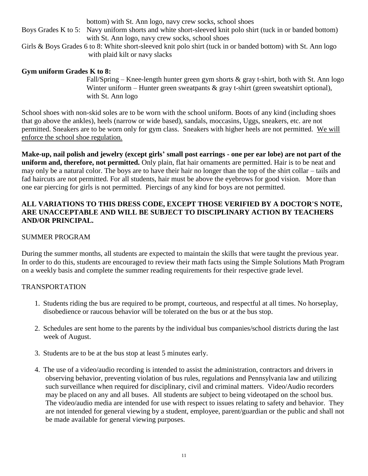|                                                                                                              | bottom) with St. Ann logo, navy crew socks, school shoes                                                   |  |
|--------------------------------------------------------------------------------------------------------------|------------------------------------------------------------------------------------------------------------|--|
|                                                                                                              | Boys Grades K to 5: Navy uniform shorts and white short-sleeved knit polo shirt (tuck in or banded bottom) |  |
|                                                                                                              | with St. Ann logo, navy crew socks, school shoes                                                           |  |
| Girls & Boys Grades 6 to 8: White short-sleeved knit polo shirt (tuck in or banded bottom) with St. Ann logo |                                                                                                            |  |
|                                                                                                              | with plaid kilt or navy slacks                                                                             |  |

#### **Gym uniform Grades K to 8:**

Fall/Spring – Knee-length hunter green gym shorts & gray t-shirt, both with St. Ann logo Winter uniform – Hunter green sweatpants  $\&$  gray t-shirt (green sweatshirt optional), with St. Ann logo

School shoes with non-skid soles are to be worn with the school uniform. Boots of any kind (including shoes that go above the ankles), heels (narrow or wide based), sandals, moccasins, Uggs, sneakers, etc. are not permitted. Sneakers are to be worn only for gym class. Sneakers with higher heels are not permitted. We will enforce the school shoe regulation.

**Make-up, nail polish and jewelry (except girls' small post earrings - one per ear lobe) are not part of the uniform and, therefore, not permitted.** Only plain, flat hair ornaments are permitted. Hair is to be neat and may only be a natural color. The boys are to have their hair no longer than the top of the shirt collar – tails and fad haircuts are not permitted. For all students, hair must be above the eyebrows for good vision. More than one ear piercing for girls is not permitted. Piercings of any kind for boys are not permitted.

## **ALL VARIATIONS TO THIS DRESS CODE, EXCEPT THOSE VERIFIED BY A DOCTOR'S NOTE, ARE UNACCEPTABLE AND WILL BE SUBJECT TO DISCIPLINARY ACTION BY TEACHERS AND/OR PRINCIPAL.**

#### SUMMER PROGRAM

During the summer months, all students are expected to maintain the skills that were taught the previous year. In order to do this, students are encouraged to review their math facts using the Simple Solutions Math Program on a weekly basis and complete the summer reading requirements for their respective grade level.

#### TRANSPORTATION

- 1. Students riding the bus are required to be prompt, courteous, and respectful at all times. No horseplay, disobedience or raucous behavior will be tolerated on the bus or at the bus stop.
- 2. Schedules are sent home to the parents by the individual bus companies/school districts during the last week of August.
- 3. Students are to be at the bus stop at least 5 minutes early.
- 4. The use of a video/audio recording is intended to assist the administration, contractors and drivers in observing behavior, preventing violation of bus rules, regulations and Pennsylvania law and utilizing such surveillance when required for disciplinary, civil and criminal matters. Video/Audio recorders may be placed on any and all buses. All students are subject to being videotaped on the school bus. The video/audio media are intended for use with respect to issues relating to safety and behavior. They are not intended for general viewing by a student, employee, parent/guardian or the public and shall not be made available for general viewing purposes.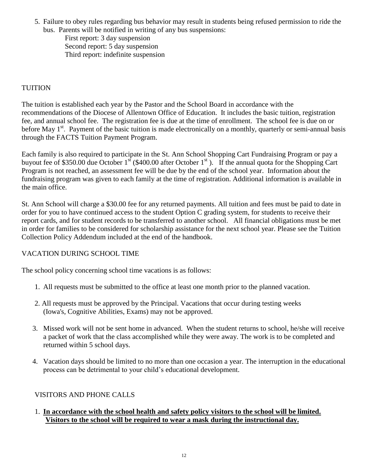5. Failure to obey rules regarding bus behavior may result in students being refused permission to ride the bus. Parents will be notified in writing of any bus suspensions:

First report: 3 day suspension Second report: 5 day suspension Third report: indefinite suspension

# TUITION

The tuition is established each year by the Pastor and the School Board in accordance with the recommendations of the Diocese of Allentown Office of Education. It includes the basic tuition, registration fee, and annual school fee. The registration fee is due at the time of enrollment. The school fee is due on or before May 1<sup>st</sup>. Payment of the basic tuition is made electronically on a monthly, quarterly or semi-annual basis through the FACTS Tuition Payment Program.

Each family is also required to participate in the St. Ann School Shopping Cart Fundraising Program or pay a buyout fee of \$350.00 due October 1<sup>st</sup> (\$400.00 after October 1<sup>st</sup>). If the annual quota for the Shopping Cart Program is not reached, an assessment fee will be due by the end of the school year. Information about the fundraising program was given to each family at the time of registration. Additional information is available in the main office.

St. Ann School will charge a \$30.00 fee for any returned payments. All tuition and fees must be paid to date in order for you to have continued access to the student Option C grading system, for students to receive their report cards, and for student records to be transferred to another school. All financial obligations must be met in order for families to be considered for scholarship assistance for the next school year. Please see the Tuition Collection Policy Addendum included at the end of the handbook.

## VACATION DURING SCHOOL TIME

The school policy concerning school time vacations is as follows:

- 1. All requests must be submitted to the office at least one month prior to the planned vacation.
- 2. All requests must be approved by the Principal. Vacations that occur during testing weeks (Iowa's, Cognitive Abilities, Exams) may not be approved.
- 3. Missed work will not be sent home in advanced. When the student returns to school, he/she will receive a packet of work that the class accomplished while they were away. The work is to be completed and returned within 5 school days.
- 4. Vacation days should be limited to no more than one occasion a year. The interruption in the educational process can be detrimental to your child's educational development.

## VISITORS AND PHONE CALLS

1. **In accordance with the school health and safety policy visitors to the school will be limited. Visitors to the school will be required to wear a mask during the instructional day.**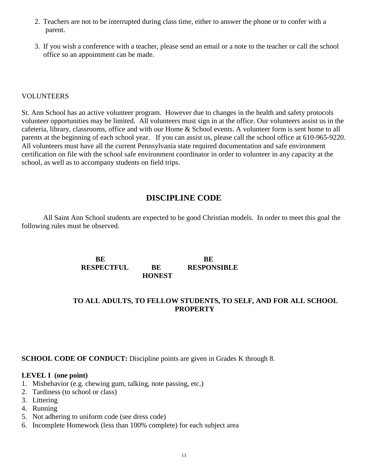- 2. Teachers are not to be interrupted during class time, either to answer the phone or to confer with a parent.
- 3. If you wish a conference with a teacher, please send an email or a note to the teacher or call the school office so an appointment can be made.

#### VOLUNTEERS

St. Ann School has an active volunteer program. However due to changes in the health and safety protocols volunteer opportunities may be limited. All volunteers must sign in at the office. Our volunteers assist us in the cafeteria, library, classrooms, office and with our Home & School events. A volunteer form is sent home to all parents at the beginning of each school year. If you can assist us, please call the school office at 610-965-9220. All volunteers must have all the current Pennsylvania state required documentation and safe environment certification on file with the school safe environment coordinator in order to volunteer in any capacity at the school, as well as to accompany students on field trips.

# **DISCIPLINE CODE**

All Saint Ann School students are expected to be good Christian models. In order to meet this goal the following rules must be observed.

> **BE BE RESPECTFUL BE RESPONSIBLE HONEST**

## **TO ALL ADULTS, TO FELLOW STUDENTS, TO SELF, AND FOR ALL SCHOOL PROPERTY**

**SCHOOL CODE OF CONDUCT:** Discipline points are given in Grades K through 8.

#### **LEVEL I (one point)**

- 1. Misbehavior (e.g. chewing gum, talking, note passing, etc.)
- 2. Tardiness (to school or class)
- 3. Littering
- 4. Running
- 5. Not adhering to uniform code (see dress code)
- 6. Incomplete Homework (less than 100% complete) for each subject area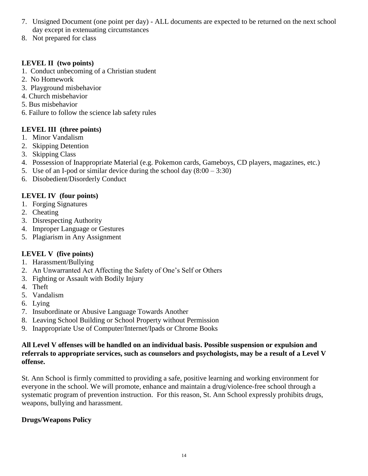- 7. Unsigned Document (one point per day) ALL documents are expected to be returned on the next school day except in extenuating circumstances
- 8. Not prepared for class

# **LEVEL II (two points)**

- 1. Conduct unbecoming of a Christian student
- 2. No Homework
- 3. Playground misbehavior
- 4. Church misbehavior
- 5. Bus misbehavior
- 6. Failure to follow the science lab safety rules

# **LEVEL III (three points)**

- 1. Minor Vandalism
- 2. Skipping Detention
- 3. Skipping Class
- 4. Possession of Inappropriate Material (e.g. Pokemon cards, Gameboys, CD players, magazines, etc.)
- 5. Use of an I-pod or similar device during the school day  $(8:00 3:30)$
- 6. Disobedient/Disorderly Conduct

# **LEVEL IV (four points)**

- 1. Forging Signatures
- 2. Cheating
- 3. Disrespecting Authority
- 4. Improper Language or Gestures
- 5. Plagiarism in Any Assignment

# **LEVEL V (five points)**

- 1. Harassment/Bullying
- 2. An Unwarranted Act Affecting the Safety of One's Self or Others
- 3. Fighting or Assault with Bodily Injury
- 4. Theft
- 5. Vandalism
- 6. Lying
- 7. Insubordinate or Abusive Language Towards Another
- 8. Leaving School Building or School Property without Permission
- 9. Inappropriate Use of Computer/Internet/Ipads or Chrome Books

## **All Level V offenses will be handled on an individual basis. Possible suspension or expulsion and referrals to appropriate services, such as counselors and psychologists, may be a result of a Level V offense.**

St. Ann School is firmly committed to providing a safe, positive learning and working environment for everyone in the school. We will promote, enhance and maintain a drug/violence-free school through a systematic program of prevention instruction. For this reason, St. Ann School expressly prohibits drugs, weapons, bullying and harassment.

# **Drugs/Weapons Policy**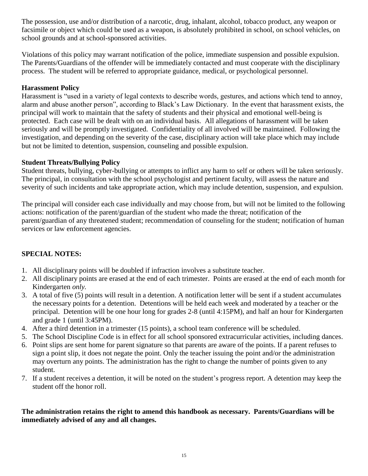The possession, use and/or distribution of a narcotic, drug, inhalant, alcohol, tobacco product, any weapon or facsimile or object which could be used as a weapon, is absolutely prohibited in school, on school vehicles, on school grounds and at school-sponsored activities.

Violations of this policy may warrant notification of the police, immediate suspension and possible expulsion. The Parents/Guardians of the offender will be immediately contacted and must cooperate with the disciplinary process. The student will be referred to appropriate guidance, medical, or psychological personnel.

## **Harassment Policy**

Harassment is "used in a variety of legal contexts to describe words, gestures, and actions which tend to annoy, alarm and abuse another person", according to Black's Law Dictionary. In the event that harassment exists, the principal will work to maintain that the safety of students and their physical and emotional well-being is protected. Each case will be dealt with on an individual basis. All allegations of harassment will be taken seriously and will be promptly investigated. Confidentiality of all involved will be maintained. Following the investigation, and depending on the severity of the case, disciplinary action will take place which may include but not be limited to detention, suspension, counseling and possible expulsion.

## **Student Threats/Bullying Policy**

Student threats, bullying, cyber-bullying or attempts to inflict any harm to self or others will be taken seriously. The principal, in consultation with the school psychologist and pertinent faculty, will assess the nature and severity of such incidents and take appropriate action, which may include detention, suspension, and expulsion.

The principal will consider each case individually and may choose from, but will not be limited to the following actions: notification of the parent/guardian of the student who made the threat; notification of the parent/guardian of any threatened student; recommendation of counseling for the student; notification of human services or law enforcement agencies.

# **SPECIAL NOTES:**

- 1. All disciplinary points will be doubled if infraction involves a substitute teacher.
- 2. All disciplinary points are erased at the end of each trimester. Points are erased at the end of each month for Kindergarten *only.*
- 3. A total of five (5) points will result in a detention. A notification letter will be sent if a student accumulates the necessary points for a detention. Detentions will be held each week and moderated by a teacher or the principal. Detention will be one hour long for grades 2-8 (until 4:15PM), and half an hour for Kindergarten and grade 1 (until 3:45PM).
- 4. After a third detention in a trimester (15 points), a school team conference will be scheduled.
- 5. The School Discipline Code is in effect for all school sponsored extracurricular activities, including dances.
- 6. Point slips are sent home for parent signature so that parents are aware of the points. If a parent refuses to sign a point slip, it does not negate the point. Only the teacher issuing the point and/or the administration may overturn any points. The administration has the right to change the number of points given to any student.
- 7. If a student receives a detention, it will be noted on the student's progress report. A detention may keep the student off the honor roll.

## **The administration retains the right to amend this handbook as necessary. Parents/Guardians will be immediately advised of any and all changes.**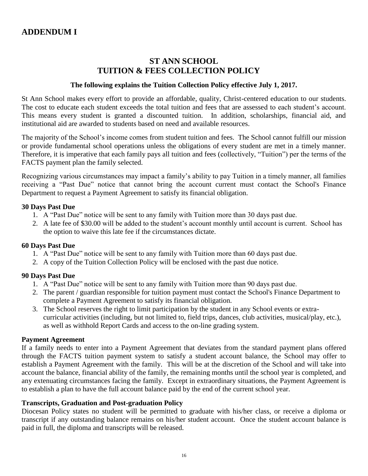# **ST ANN SCHOOL TUITION & FEES COLLECTION POLICY**

#### **The following explains the Tuition Collection Policy effective July 1, 2017.**

St Ann School makes every effort to provide an affordable, quality, Christ-centered education to our students. The cost to educate each student exceeds the total tuition and fees that are assessed to each student's account. This means every student is granted a discounted tuition. In addition, scholarships, financial aid, and institutional aid are awarded to students based on need and available resources.

The majority of the School's income comes from student tuition and fees. The School cannot fulfill our mission or provide fundamental school operations unless the obligations of every student are met in a timely manner. Therefore, it is imperative that each family pays all tuition and fees (collectively, "Tuition") per the terms of the FACTS payment plan the family selected.

Recognizing various circumstances may impact a family's ability to pay Tuition in a timely manner, all families receiving a "Past Due" notice that cannot bring the account current must contact the School's Finance Department to request a Payment Agreement to satisfy its financial obligation.

#### **30 Days Past Due**

- 1. A "Past Due" notice will be sent to any family with Tuition more than 30 days past due.
- 2. A late fee of \$30.00 will be added to the student's account monthly until account is current. School has the option to waive this late fee if the circumstances dictate.

#### **60 Days Past Due**

- 1. A "Past Due" notice will be sent to any family with Tuition more than 60 days past due.
- 2. A copy of the Tuition Collection Policy will be enclosed with the past due notice.

#### **90 Days Past Due**

- 1. A "Past Due" notice will be sent to any family with Tuition more than 90 days past due.
- 2. The parent / guardian responsible for tuition payment must contact the School's Finance Department to complete a Payment Agreement to satisfy its financial obligation.
- 3. The School reserves the right to limit participation by the student in any School events or extracurricular activities (including, but not limited to, field trips, dances, club activities, musical/play, etc.), as well as withhold Report Cards and access to the on-line grading system.

#### **Payment Agreement**

If a family needs to enter into a Payment Agreement that deviates from the standard payment plans offered through the FACTS tuition payment system to satisfy a student account balance, the School may offer to establish a Payment Agreement with the family. This will be at the discretion of the School and will take into account the balance, financial ability of the family, the remaining months until the school year is completed, and any extenuating circumstances facing the family. Except in extraordinary situations, the Payment Agreement is to establish a plan to have the full account balance paid by the end of the current school year.

#### **Transcripts, Graduation and Post-graduation Policy**

Diocesan Policy states no student will be permitted to graduate with his/her class, or receive a diploma or transcript if any outstanding balance remains on his/her student account. Once the student account balance is paid in full, the diploma and transcripts will be released.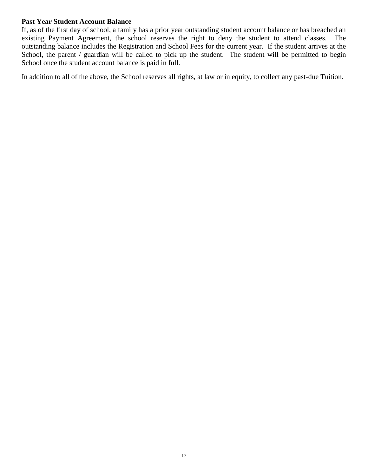#### **Past Year Student Account Balance**

If, as of the first day of school, a family has a prior year outstanding student account balance or has breached an existing Payment Agreement, the school reserves the right to deny the student to attend classes. The outstanding balance includes the Registration and School Fees for the current year. If the student arrives at the School, the parent / guardian will be called to pick up the student. The student will be permitted to begin School once the student account balance is paid in full.

In addition to all of the above, the School reserves all rights, at law or in equity, to collect any past-due Tuition.